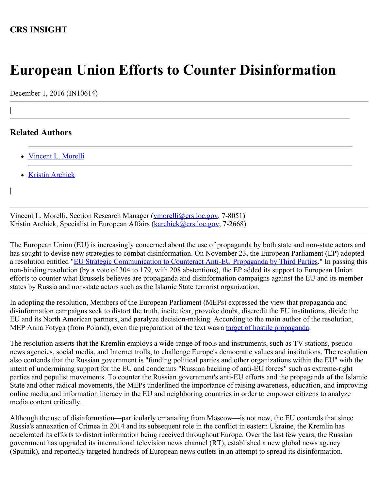## **CRS INSIGHT**

## **European Union Efforts to Counter Disinformation**

December 1, 2016 (IN10614)

## **Related Authors**

|

|

- [Vincent L. Morelli](http://www.crs.gov/Author/index?id=100790)
- [Kristin Archick](http://www.crs.gov/Author/index?id=72519)

Vincent L. Morelli, Section Research Manager ([vmorelli@crs.loc.gov](mailto:vmorelli@crs.loc.gov), 7-8051) Kristin Archick, Specialist in European Affairs (**karchick@crs.loc.gov**, 7-2668)

The European Union (EU) is increasingly concerned about the use of propaganda by both state and non-state actors and has sought to devise new strategies to combat disinformation. On November 23, the European Parliament (EP) adopted a resolution entitled ["EU Strategic Communication to Counteract Anti-EU Propaganda by Third Parties](http://www.europarl.europa.eu/sides/getDoc.do?type=TA&reference=P8-TA-2016-0441&format=XML&language=EN)." In passing this non-binding resolution (by a vote of 304 to 179, with 208 abstentions), the EP added its support to European Union efforts to counter what Brussels believes are propaganda and disinformation campaigns against the EU and its member states by Russia and non-state actors such as the Islamic State terrorist organization.

In adopting the resolution, Members of the European Parliament (MEPs) expressed the view that propaganda and disinformation campaigns seek to distort the truth, incite fear, provoke doubt, discredit the EU institutions, divide the EU and its North American partners, and paralyze decision-making. According to the main author of the resolution, MEP Anna Fotyga (from Poland), even the preparation of the text was a [target of hostile propaganda](http://www.independent.co.uk/news/world/europe/eu-approves-resolution-to-fight-back-against-russian-propaganda-warfare-a7436036.html).

The resolution asserts that the Kremlin employs a wide-range of tools and instruments, such as TV stations, pseudonews agencies, social media, and Internet trolls, to challenge Europe's democratic values and institutions. The resolution also contends that the Russian government is "funding political parties and other organizations within the EU" with the intent of undermining support for the EU and condemns "Russian backing of anti-EU forces" such as extreme-right parties and populist movements. To counter the Russian government's anti-EU efforts and the propaganda of the Islamic State and other radical movements, the MEPs underlined the importance of raising awareness, education, and improving online media and information literacy in the EU and neighboring countries in order to empower citizens to analyze media content critically.

Although the use of disinformation—particularly emanating from Moscow—is not new, the EU contends that since Russia's annexation of Crimea in 2014 and its subsequent role in the conflict in eastern Ukraine, the Kremlin has accelerated its efforts to distort information being received throughout Europe. Over the last few years, the Russian government has upgraded its international television news channel (RT), established a new global news agency (Sputnik), and reportedly targeted hundreds of European news outlets in an attempt to spread its disinformation.